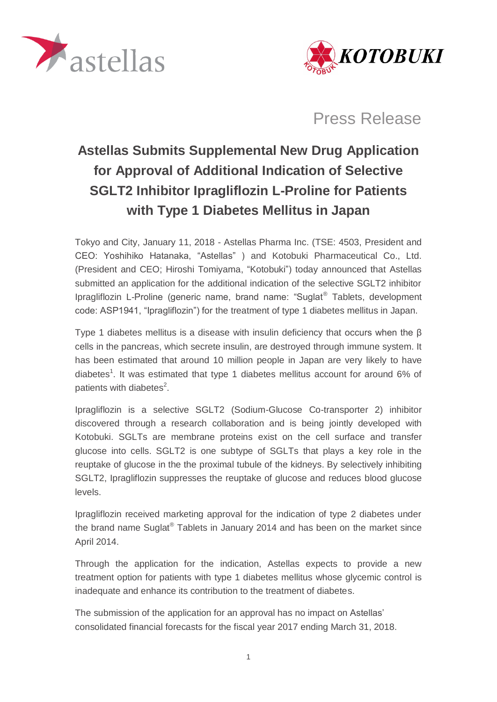



Press Release

# **Astellas Submits Supplemental New Drug Application for Approval of Additional Indication of Selective SGLT2 Inhibitor Ipragliflozin L-Proline for Patients with Type 1 Diabetes Mellitus in Japan**

Tokyo and City, January 11, 2018 - Astellas Pharma Inc. (TSE: 4503, President and CEO: Yoshihiko Hatanaka, "Astellas" ) and Kotobuki Pharmaceutical Co., Ltd. (President and CEO; Hiroshi Tomiyama, "Kotobuki") today announced that Astellas submitted an application for the additional indication of the selective SGLT2 inhibitor Ipragliflozin L-Proline (generic name, brand name: "Suglat® Tablets, development code: ASP1941, "Ipragliflozin") for the treatment of type 1 diabetes mellitus in Japan.

Type 1 diabetes mellitus is a disease with insulin deficiency that occurs when the β cells in the pancreas, which secrete insulin, are destroyed through immune system. It has been estimated that around 10 million people in Japan are very likely to have diabetes<sup>1</sup>. It was estimated that type 1 diabetes mellitus account for around 6% of patients with diabetes $2$ .

Ipragliflozin is a selective SGLT2 (Sodium-Glucose Co-transporter 2) inhibitor discovered through a research collaboration and is being jointly developed with Kotobuki. SGLTs are membrane proteins exist on the cell surface and transfer glucose into cells. SGLT2 is one subtype of SGLTs that plays a key role in the reuptake of glucose in the the proximal tubule of the kidneys. By selectively inhibiting SGLT2, Ipragliflozin suppresses the reuptake of glucose and reduces blood glucose levels.

Ipragliflozin received marketing approval for the indication of type 2 diabetes under the brand name Suglat® Tablets in January 2014 and has been on the market since April 2014.

Through the application for the indication, Astellas expects to provide a new treatment option for patients with type 1 diabetes mellitus whose glycemic control is inadequate and enhance its contribution to the treatment of diabetes.

The submission of the application for an approval has no impact on Astellas' consolidated financial forecasts for the fiscal year 2017 ending March 31, 2018.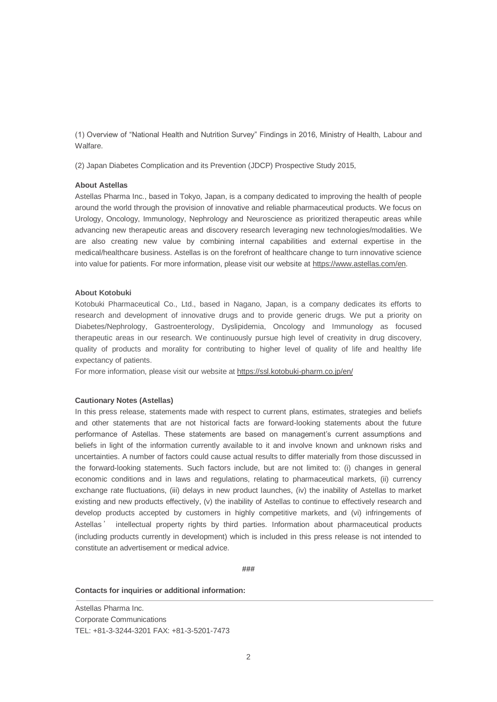(1) Overview of "National Health and Nutrition Survey" Findings in 2016, Ministry of Health, Labour and Walfare.

(2) Japan Diabetes Complication and its Prevention (JDCP) Prospective Study 2015,

## **About Astellas**

Astellas Pharma Inc., based in Tokyo, Japan, is a company dedicated to improving the health of people around the world through the provision of innovative and reliable pharmaceutical products. We focus on Urology, Oncology, Immunology, Nephrology and Neuroscience as prioritized therapeutic areas while advancing new therapeutic areas and discovery research leveraging new technologies/modalities. We are also creating new value by combining internal capabilities and external expertise in the medical/healthcare business. Astellas is on the forefront of healthcare change to turn innovative science into value for patients. For more information, please visit our website a[t https://www.astellas.com/en.](https://www.astellas.com/en)

## **About Kotobuki**

Kotobuki Pharmaceutical Co., Ltd., based in Nagano, Japan, is a company dedicates its efforts to research and development of innovative drugs and to provide generic drugs. We put a priority on Diabetes/Nephrology, Gastroenterology, Dyslipidemia, Oncology and Immunology as focused therapeutic areas in our research. We continuously pursue high level of creativity in drug discovery, quality of products and morality for contributing to higher level of quality of life and healthy life expectancy of patients.

For more information, please visit our website at<https://ssl.kotobuki-pharm.co.jp/en/>

### **Cautionary Notes (Astellas)**

In this press release, statements made with respect to current plans, estimates, strategies and beliefs and other statements that are not historical facts are forward-looking statements about the future performance of Astellas. These statements are based on management's current assumptions and beliefs in light of the information currently available to it and involve known and unknown risks and uncertainties. A number of factors could cause actual results to differ materially from those discussed in the forward-looking statements. Such factors include, but are not limited to: (i) changes in general economic conditions and in laws and regulations, relating to pharmaceutical markets, (ii) currency exchange rate fluctuations, (iii) delays in new product launches, (iv) the inability of Astellas to market existing and new products effectively, (v) the inability of Astellas to continue to effectively research and develop products accepted by customers in highly competitive markets, and (vi) infringements of Astellas' intellectual property rights by third parties. Information about pharmaceutical products (including products currently in development) which is included in this press release is not intended to constitute an advertisement or medical advice.

**###**

#### **Contacts for inquiries or additional information:**

Astellas Pharma Inc. Corporate Communications TEL: +81-3-3244-3201 FAX: +81-3-5201-7473